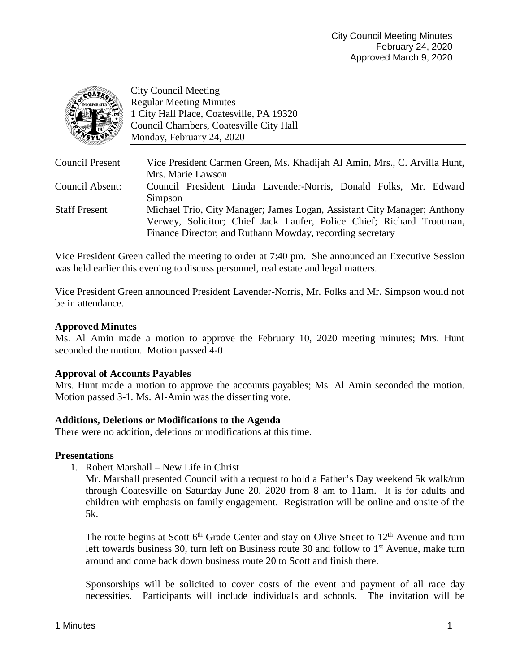

City Council Meeting Regular Meeting Minutes 1 City Hall Place, Coatesville, PA 19320 Council Chambers, Coatesville City Hall Monday, February 24, 2020

| Council Present      | Vice President Carmen Green, Ms. Khadijah Al Amin, Mrs., C. Arvilla Hunt, |
|----------------------|---------------------------------------------------------------------------|
|                      | Mrs. Marie Lawson                                                         |
| Council Absent:      | Council President Linda Lavender-Norris, Donald Folks, Mr. Edward         |
|                      | Simpson                                                                   |
| <b>Staff Present</b> | Michael Trio, City Manager; James Logan, Assistant City Manager; Anthony  |
|                      | Verwey, Solicitor; Chief Jack Laufer, Police Chief; Richard Troutman,     |
|                      | Finance Director; and Ruthann Mowday, recording secretary                 |

Vice President Green called the meeting to order at 7:40 pm. She announced an Executive Session was held earlier this evening to discuss personnel, real estate and legal matters.

Vice President Green announced President Lavender-Norris, Mr. Folks and Mr. Simpson would not be in attendance.

### **Approved Minutes**

Ms. Al Amin made a motion to approve the February 10, 2020 meeting minutes; Mrs. Hunt seconded the motion. Motion passed 4-0

#### **Approval of Accounts Payables**

Mrs. Hunt made a motion to approve the accounts payables; Ms. Al Amin seconded the motion. Motion passed 3-1. Ms. Al-Amin was the dissenting vote.

#### **Additions, Deletions or Modifications to the Agenda**

There were no addition, deletions or modifications at this time.

#### **Presentations**

1. Robert Marshall – New Life in Christ

Mr. Marshall presented Council with a request to hold a Father's Day weekend 5k walk/run through Coatesville on Saturday June 20, 2020 from 8 am to 11am. It is for adults and children with emphasis on family engagement. Registration will be online and onsite of the 5k.

The route begins at Scott  $6<sup>th</sup>$  Grade Center and stay on Olive Street to  $12<sup>th</sup>$  Avenue and turn left towards business 30, turn left on Business route 30 and follow to  $1<sup>st</sup>$  Avenue, make turn around and come back down business route 20 to Scott and finish there.

Sponsorships will be solicited to cover costs of the event and payment of all race day necessities. Participants will include individuals and schools. The invitation will be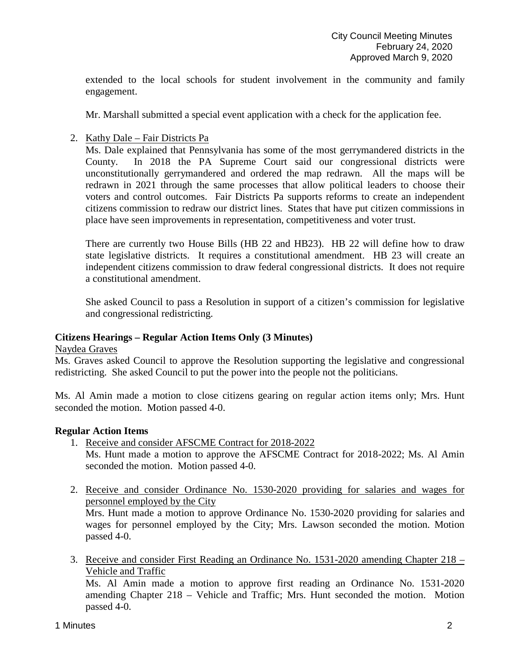extended to the local schools for student involvement in the community and family engagement.

Mr. Marshall submitted a special event application with a check for the application fee.

2. Kathy Dale – Fair Districts Pa

Ms. Dale explained that Pennsylvania has some of the most gerrymandered districts in the County. In 2018 the PA Supreme Court said our congressional districts were unconstitutionally gerrymandered and ordered the map redrawn. All the maps will be redrawn in 2021 through the same processes that allow political leaders to choose their voters and control outcomes. Fair Districts Pa supports reforms to create an independent citizens commission to redraw our district lines. States that have put citizen commissions in place have seen improvements in representation, competitiveness and voter trust.

There are currently two House Bills (HB 22 and HB23). HB 22 will define how to draw state legislative districts. It requires a constitutional amendment. HB 23 will create an independent citizens commission to draw federal congressional districts. It does not require a constitutional amendment.

She asked Council to pass a Resolution in support of a citizen's commission for legislative and congressional redistricting.

#### **Citizens Hearings – Regular Action Items Only (3 Minutes)**

#### Naydea Graves

Ms. Graves asked Council to approve the Resolution supporting the legislative and congressional redistricting. She asked Council to put the power into the people not the politicians.

Ms. Al Amin made a motion to close citizens gearing on regular action items only; Mrs. Hunt seconded the motion. Motion passed 4-0.

#### **Regular Action Items**

- 1. Receive and consider AFSCME Contract for 2018-2022 Ms. Hunt made a motion to approve the AFSCME Contract for 2018-2022; Ms. Al Amin seconded the motion. Motion passed 4-0.
- 2. Receive and consider Ordinance No. 1530-2020 providing for salaries and wages for personnel employed by the City Mrs. Hunt made a motion to approve Ordinance No. 1530-2020 providing for salaries and wages for personnel employed by the City; Mrs. Lawson seconded the motion. Motion passed 4-0.
- 3. Receive and consider First Reading an Ordinance No. 1531-2020 amending Chapter 218 Vehicle and Traffic

Ms. Al Amin made a motion to approve first reading an Ordinance No. 1531-2020 amending Chapter 218 – Vehicle and Traffic; Mrs. Hunt seconded the motion. Motion passed 4-0.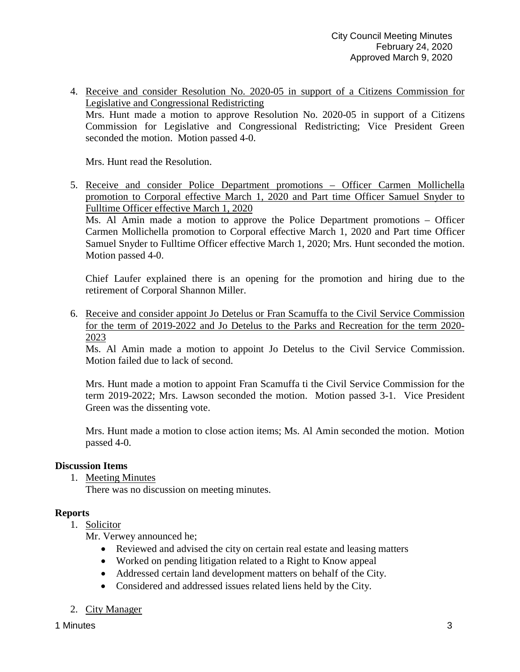4. Receive and consider Resolution No. 2020-05 in support of a Citizens Commission for Legislative and Congressional Redistricting Mrs. Hunt made a motion to approve Resolution No. 2020-05 in support of a Citizens Commission for Legislative and Congressional Redistricting; Vice President Green seconded the motion. Motion passed 4-0.

Mrs. Hunt read the Resolution.

5. Receive and consider Police Department promotions – Officer Carmen Mollichella promotion to Corporal effective March 1, 2020 and Part time Officer Samuel Snyder to Fulltime Officer effective March 1, 2020

Ms. Al Amin made a motion to approve the Police Department promotions – Officer Carmen Mollichella promotion to Corporal effective March 1, 2020 and Part time Officer Samuel Snyder to Fulltime Officer effective March 1, 2020; Mrs. Hunt seconded the motion. Motion passed 4-0.

Chief Laufer explained there is an opening for the promotion and hiring due to the retirement of Corporal Shannon Miller.

6. Receive and consider appoint Jo Detelus or Fran Scamuffa to the Civil Service Commission for the term of 2019-2022 and Jo Detelus to the Parks and Recreation for the term 2020- 2023

Ms. Al Amin made a motion to appoint Jo Detelus to the Civil Service Commission. Motion failed due to lack of second.

Mrs. Hunt made a motion to appoint Fran Scamuffa ti the Civil Service Commission for the term 2019-2022; Mrs. Lawson seconded the motion. Motion passed 3-1. Vice President Green was the dissenting vote.

Mrs. Hunt made a motion to close action items; Ms. Al Amin seconded the motion. Motion passed 4-0.

# **Discussion Items**

1. Meeting Minutes

There was no discussion on meeting minutes.

# **Reports**

1. Solicitor

Mr. Verwey announced he;

- Reviewed and advised the city on certain real estate and leasing matters
- Worked on pending litigation related to a Right to Know appeal
- Addressed certain land development matters on behalf of the City.
- Considered and addressed issues related liens held by the City.
- 2. City Manager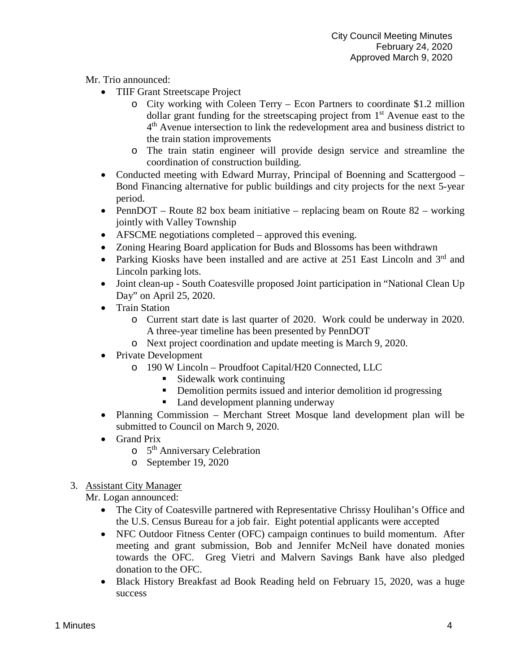Mr. Trio announced:

- TIIF Grant Streetscape Project
	- o City working with Coleen Terry Econ Partners to coordinate \$1.2 million dollar grant funding for the streetscaping project from 1<sup>st</sup> Avenue east to the 4<sup>th</sup> Avenue intersection to link the redevelopment area and business district to the train station improvements
	- o The train statin engineer will provide design service and streamline the coordination of construction building.
- Conducted meeting with Edward Murray, Principal of Boenning and Scattergood Bond Financing alternative for public buildings and city projects for the next 5-year period.
- PennDOT Route 82 box beam initiative replacing beam on Route 82 working jointly with Valley Township
- AFSCME negotiations completed approved this evening.
- Zoning Hearing Board application for Buds and Blossoms has been withdrawn
- Parking Kiosks have been installed and are active at  $251$  East Lincoln and  $3<sup>rd</sup>$  and Lincoln parking lots.
- Joint clean-up South Coatesville proposed Joint participation in "National Clean Up Day" on April 25, 2020.
- Train Station
	- o Current start date is last quarter of 2020. Work could be underway in 2020. A three-year timeline has been presented by PennDOT
	- o Next project coordination and update meeting is March 9, 2020.
- Private Development
	- o 190 W Lincoln Proudfoot Capital/H20 Connected, LLC
		- $\blacksquare$  Sidewalk work continuing
		- Demolition permits issued and interior demolition id progressing
			- Land development planning underway
- Planning Commission Merchant Street Mosque land development plan will be submitted to Council on March 9, 2020.
- Grand Prix
	- $\circ$  5<sup>th</sup> Anniversary Celebration
	- o September 19, 2020

# 3. Assistant City Manager

Mr. Logan announced:

- The City of Coatesville partnered with Representative Chrissy Houlihan's Office and the U.S. Census Bureau for a job fair. Eight potential applicants were accepted
- NFC Outdoor Fitness Center (OFC) campaign continues to build momentum. After meeting and grant submission, Bob and Jennifer McNeil have donated monies towards the OFC. Greg Vietri and Malvern Savings Bank have also pledged donation to the OFC.
- Black History Breakfast ad Book Reading held on February 15, 2020, was a huge success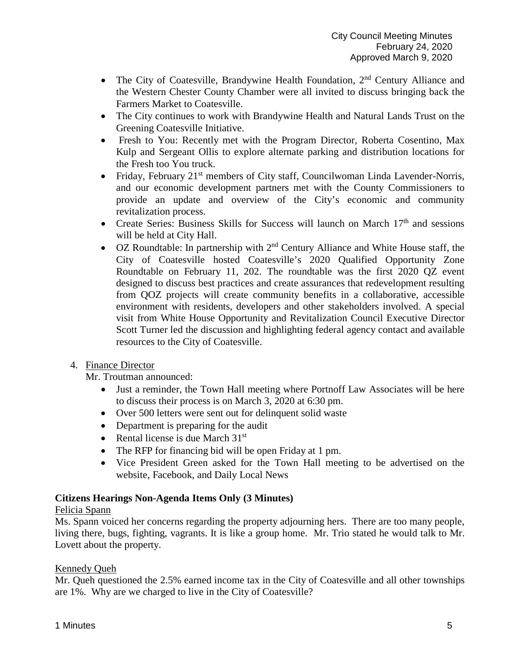- The City of Coatesville, Brandywine Health Foundation,  $2<sup>nd</sup>$  Century Alliance and the Western Chester County Chamber were all invited to discuss bringing back the Farmers Market to Coatesville.
- The City continues to work with Brandywine Health and Natural Lands Trust on the Greening Coatesville Initiative.
- Fresh to You: Recently met with the Program Director, Roberta Cosentino, Max Kulp and Sergeant Ollis to explore alternate parking and distribution locations for the Fresh too You truck.
- Friday, February 21<sup>st</sup> members of City staff, Councilwoman Linda Lavender-Norris, and our economic development partners met with the County Commissioners to provide an update and overview of the City's economic and community revitalization process.
- Create Series: Business Skills for Success will launch on March  $17<sup>th</sup>$  and sessions will be held at City Hall.
- OZ Roundtable: In partnership with  $2<sup>nd</sup>$  Century Alliance and White House staff, the City of Coatesville hosted Coatesville's 2020 Qualified Opportunity Zone Roundtable on February 11, 202. The roundtable was the first 2020 QZ event designed to discuss best practices and create assurances that redevelopment resulting from QOZ projects will create community benefits in a collaborative, accessible environment with residents, developers and other stakeholders involved. A special visit from White House Opportunity and Revitalization Council Executive Director Scott Turner led the discussion and highlighting federal agency contact and available resources to the City of Coatesville.

# 4. Finance Director

Mr. Troutman announced:

- Just a reminder, the Town Hall meeting where Portnoff Law Associates will be here to discuss their process is on March 3, 2020 at 6:30 pm.
- Over 500 letters were sent out for delinquent solid waste
- Department is preparing for the audit
- Rental license is due March  $31<sup>st</sup>$
- The RFP for financing bid will be open Friday at 1 pm.
- Vice President Green asked for the Town Hall meeting to be advertised on the website, Facebook, and Daily Local News

# **Citizens Hearings Non-Agenda Items Only (3 Minutes)**

# Felicia Spann

Ms. Spann voiced her concerns regarding the property adjourning hers. There are too many people, living there, bugs, fighting, vagrants. It is like a group home. Mr. Trio stated he would talk to Mr. Lovett about the property.

# Kennedy Queh

Mr. Queh questioned the 2.5% earned income tax in the City of Coatesville and all other townships are 1%. Why are we charged to live in the City of Coatesville?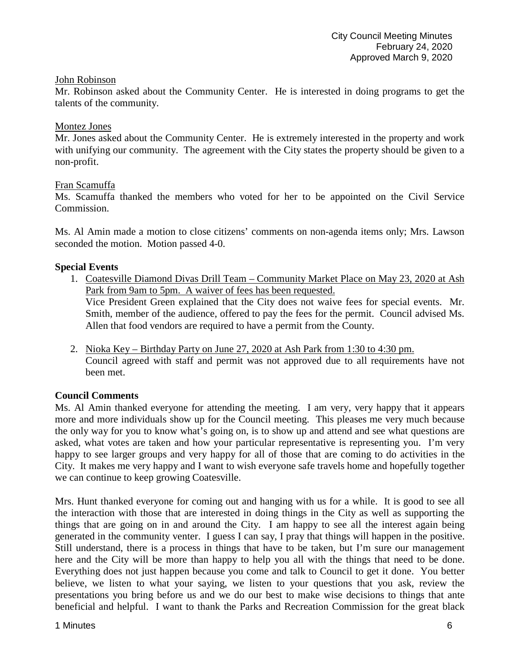### John Robinson

Mr. Robinson asked about the Community Center. He is interested in doing programs to get the talents of the community.

### Montez Jones

Mr. Jones asked about the Community Center. He is extremely interested in the property and work with unifying our community. The agreement with the City states the property should be given to a non-profit.

### Fran Scamuffa

Ms. Scamuffa thanked the members who voted for her to be appointed on the Civil Service Commission.

Ms. Al Amin made a motion to close citizens' comments on non-agenda items only; Mrs. Lawson seconded the motion. Motion passed 4-0.

### **Special Events**

- 1. Coatesville Diamond Divas Drill Team Community Market Place on May 23, 2020 at Ash Park from 9am to 5pm. A waiver of fees has been requested. Vice President Green explained that the City does not waive fees for special events. Mr. Smith, member of the audience, offered to pay the fees for the permit. Council advised Ms. Allen that food vendors are required to have a permit from the County.
- 2. Nioka Key Birthday Party on June 27, 2020 at Ash Park from 1:30 to 4:30 pm. Council agreed with staff and permit was not approved due to all requirements have not been met.

# **Council Comments**

Ms. Al Amin thanked everyone for attending the meeting. I am very, very happy that it appears more and more individuals show up for the Council meeting. This pleases me very much because the only way for you to know what's going on, is to show up and attend and see what questions are asked, what votes are taken and how your particular representative is representing you. I'm very happy to see larger groups and very happy for all of those that are coming to do activities in the City. It makes me very happy and I want to wish everyone safe travels home and hopefully together we can continue to keep growing Coatesville.

Mrs. Hunt thanked everyone for coming out and hanging with us for a while. It is good to see all the interaction with those that are interested in doing things in the City as well as supporting the things that are going on in and around the City. I am happy to see all the interest again being generated in the community venter. I guess I can say, I pray that things will happen in the positive. Still understand, there is a process in things that have to be taken, but I'm sure our management here and the City will be more than happy to help you all with the things that need to be done. Everything does not just happen because you come and talk to Council to get it done. You better believe, we listen to what your saying, we listen to your questions that you ask, review the presentations you bring before us and we do our best to make wise decisions to things that ante beneficial and helpful. I want to thank the Parks and Recreation Commission for the great black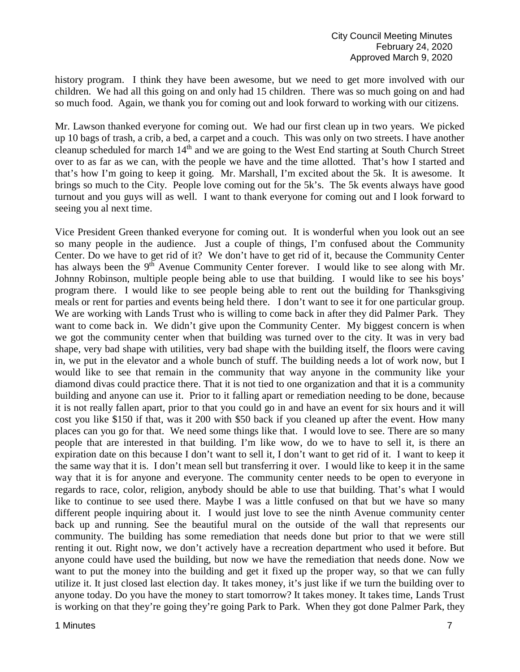history program. I think they have been awesome, but we need to get more involved with our children. We had all this going on and only had 15 children. There was so much going on and had so much food. Again, we thank you for coming out and look forward to working with our citizens.

Mr. Lawson thanked everyone for coming out. We had our first clean up in two years. We picked up 10 bags of trash, a crib, a bed, a carpet and a couch. This was only on two streets. I have another cleanup scheduled for march 14<sup>th</sup> and we are going to the West End starting at South Church Street over to as far as we can, with the people we have and the time allotted. That's how I started and that's how I'm going to keep it going. Mr. Marshall, I'm excited about the 5k. It is awesome. It brings so much to the City. People love coming out for the 5k's. The 5k events always have good turnout and you guys will as well. I want to thank everyone for coming out and I look forward to seeing you al next time.

Vice President Green thanked everyone for coming out. It is wonderful when you look out an see so many people in the audience. Just a couple of things, I'm confused about the Community Center. Do we have to get rid of it? We don't have to get rid of it, because the Community Center has always been the  $9<sup>th</sup>$  Avenue Community Center forever. I would like to see along with Mr. Johnny Robinson, multiple people being able to use that building. I would like to see his boys' program there. I would like to see people being able to rent out the building for Thanksgiving meals or rent for parties and events being held there. I don't want to see it for one particular group. We are working with Lands Trust who is willing to come back in after they did Palmer Park. They want to come back in. We didn't give upon the Community Center. My biggest concern is when we got the community center when that building was turned over to the city. It was in very bad shape, very bad shape with utilities, very bad shape with the building itself, the floors were caving in, we put in the elevator and a whole bunch of stuff. The building needs a lot of work now, but I would like to see that remain in the community that way anyone in the community like your diamond divas could practice there. That it is not tied to one organization and that it is a community building and anyone can use it. Prior to it falling apart or remediation needing to be done, because it is not really fallen apart, prior to that you could go in and have an event for six hours and it will cost you like \$150 if that, was it 200 with \$50 back if you cleaned up after the event. How many places can you go for that. We need some things like that. I would love to see. There are so many people that are interested in that building. I'm like wow, do we to have to sell it, is there an expiration date on this because I don't want to sell it, I don't want to get rid of it. I want to keep it the same way that it is. I don't mean sell but transferring it over. I would like to keep it in the same way that it is for anyone and everyone. The community center needs to be open to everyone in regards to race, color, religion, anybody should be able to use that building. That's what I would like to continue to see used there. Maybe I was a little confused on that but we have so many different people inquiring about it. I would just love to see the ninth Avenue community center back up and running. See the beautiful mural on the outside of the wall that represents our community. The building has some remediation that needs done but prior to that we were still renting it out. Right now, we don't actively have a recreation department who used it before. But anyone could have used the building, but now we have the remediation that needs done. Now we want to put the money into the building and get it fixed up the proper way, so that we can fully utilize it. It just closed last election day. It takes money, it's just like if we turn the building over to anyone today. Do you have the money to start tomorrow? It takes money. It takes time, Lands Trust is working on that they're going they're going Park to Park. When they got done Palmer Park, they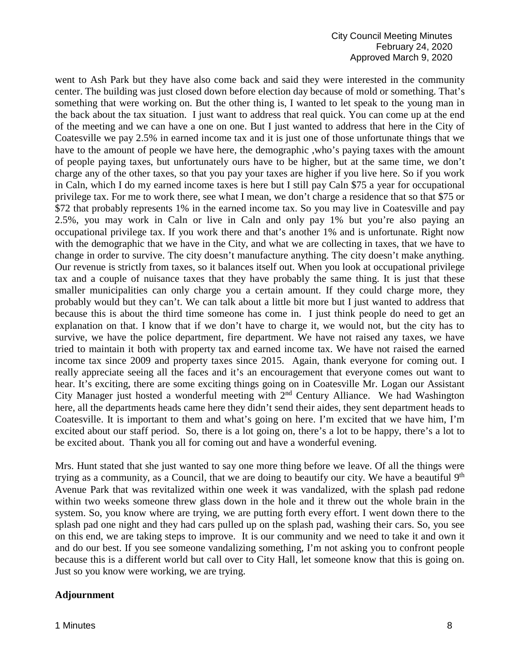went to Ash Park but they have also come back and said they were interested in the community center. The building was just closed down before election day because of mold or something. That's something that were working on. But the other thing is, I wanted to let speak to the young man in the back about the tax situation. I just want to address that real quick. You can come up at the end of the meeting and we can have a one on one. But I just wanted to address that here in the City of Coatesville we pay 2.5% in earned income tax and it is just one of those unfortunate things that we have to the amount of people we have here, the demographic ,who's paying taxes with the amount of people paying taxes, but unfortunately ours have to be higher, but at the same time, we don't charge any of the other taxes, so that you pay your taxes are higher if you live here. So if you work in Caln, which I do my earned income taxes is here but I still pay Caln \$75 a year for occupational privilege tax. For me to work there, see what I mean, we don't charge a residence that so that \$75 or \$72 that probably represents 1% in the earned income tax. So you may live in Coatesville and pay 2.5%, you may work in Caln or live in Caln and only pay 1% but you're also paying an occupational privilege tax. If you work there and that's another 1% and is unfortunate. Right now with the demographic that we have in the City, and what we are collecting in taxes, that we have to change in order to survive. The city doesn't manufacture anything. The city doesn't make anything. Our revenue is strictly from taxes, so it balances itself out. When you look at occupational privilege tax and a couple of nuisance taxes that they have probably the same thing. It is just that these smaller municipalities can only charge you a certain amount. If they could charge more, they probably would but they can't. We can talk about a little bit more but I just wanted to address that because this is about the third time someone has come in. I just think people do need to get an explanation on that. I know that if we don't have to charge it, we would not, but the city has to survive, we have the police department, fire department. We have not raised any taxes, we have tried to maintain it both with property tax and earned income tax. We have not raised the earned income tax since 2009 and property taxes since 2015. Again, thank everyone for coming out. I really appreciate seeing all the faces and it's an encouragement that everyone comes out want to hear. It's exciting, there are some exciting things going on in Coatesville Mr. Logan our Assistant City Manager just hosted a wonderful meeting with  $2<sup>nd</sup>$  Century Alliance. We had Washington here, all the departments heads came here they didn't send their aides, they sent department heads to Coatesville. It is important to them and what's going on here. I'm excited that we have him, I'm excited about our staff period. So, there is a lot going on, there's a lot to be happy, there's a lot to be excited about. Thank you all for coming out and have a wonderful evening.

Mrs. Hunt stated that she just wanted to say one more thing before we leave. Of all the things were trying as a community, as a Council, that we are doing to beautify our city. We have a beautiful  $9<sup>th</sup>$ Avenue Park that was revitalized within one week it was vandalized, with the splash pad redone within two weeks someone threw glass down in the hole and it threw out the whole brain in the system. So, you know where are trying, we are putting forth every effort. I went down there to the splash pad one night and they had cars pulled up on the splash pad, washing their cars. So, you see on this end, we are taking steps to improve. It is our community and we need to take it and own it and do our best. If you see someone vandalizing something, I'm not asking you to confront people because this is a different world but call over to City Hall, let someone know that this is going on. Just so you know were working, we are trying.

#### **Adjournment**